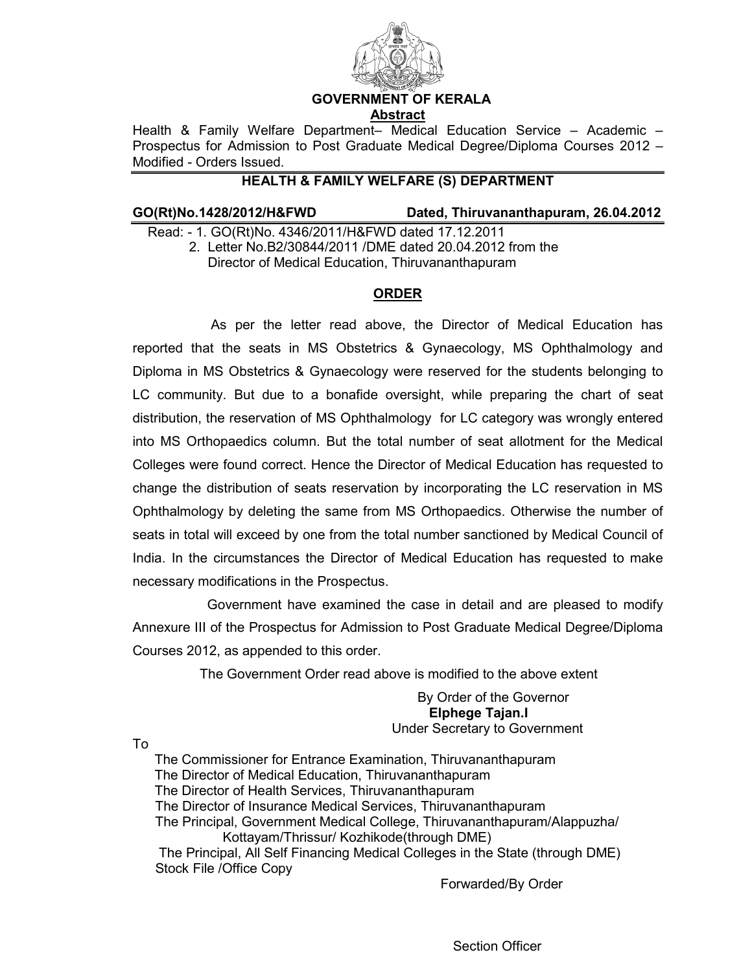

### **GOVERNMENT OF KERALA Abstract**

Health & Family Welfare Department– Medical Education Service – Academic – Prospectus for Admission to Post Graduate Medical Degree/Diploma Courses 2012 – Modified - Orders Issued.

# **HEALTH & FAMILY WELFARE (S) DEPARTMENT**

**GO(Rt)No.1428/2012/H&FWD Dated, Thiruvananthapuram, 26.04.2012** 

 Read: - 1. GO(Rt)No. 4346/2011/H&FWD dated 17.12.2011 2. Letter No.B2/30844/2011 /DME dated 20.04.2012 from the Director of Medical Education, Thiruvananthapuram

# **ORDER**

 As per the letter read above, the Director of Medical Education has reported that the seats in MS Obstetrics & Gynaecology, MS Ophthalmology and Diploma in MS Obstetrics & Gynaecology were reserved for the students belonging to LC community. But due to a bonafide oversight, while preparing the chart of seat distribution, the reservation of MS Ophthalmology for LC category was wrongly entered into MS Orthopaedics column. But the total number of seat allotment for the Medical Colleges were found correct. Hence the Director of Medical Education has requested to change the distribution of seats reservation by incorporating the LC reservation in MS Ophthalmology by deleting the same from MS Orthopaedics. Otherwise the number of seats in total will exceed by one from the total number sanctioned by Medical Council of India. In the circumstances the Director of Medical Education has requested to make necessary modifications in the Prospectus.

 Government have examined the case in detail and are pleased to modify Annexure III of the Prospectus for Admission to Post Graduate Medical Degree/Diploma Courses 2012, as appended to this order.

The Government Order read above is modified to the above extent

By Order of the Governor **Elphege Tajan.I**  Under Secretary to Government

To

The Commissioner for Entrance Examination, Thiruvananthapuram The Director of Medical Education, Thiruvananthapuram The Director of Health Services, Thiruvananthapuram The Director of Insurance Medical Services, Thiruvananthapuram The Principal, Government Medical College, Thiruvananthapuram/Alappuzha/ Kottayam/Thrissur/ Kozhikode(through DME) The Principal, All Self Financing Medical Colleges in the State (through DME) Stock File /Office Copy

Forwarded/By Order